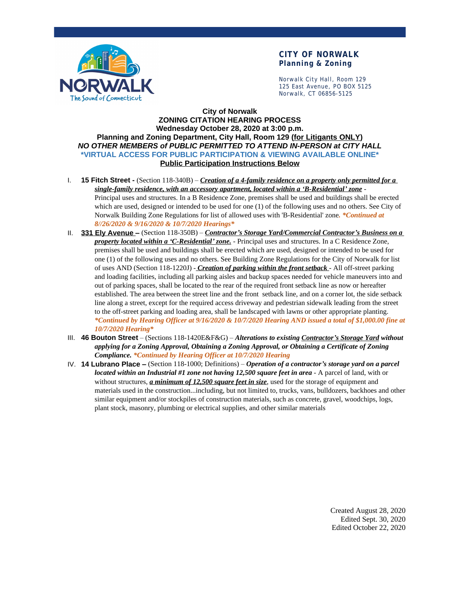

### **CITY OF NORWALK Planning & Zoning**

Norwalk City Hall, Room 129 125 East Avenue, PO BOX 5125 Norwalk, CT 06856-5125

### **City of Norwalk ZONING CITATION HEARING PROCESS Wednesday October 28, 2020 at 3:00 p.m. Planning and Zoning Department, City Hall, Room 129 (for Litigants ONLY)** *NO OTHER MEMBERS of PUBLIC PERMITTED TO ATTEND IN-PERSON at CITY HALL* **\*VIRTUAL ACCESS FOR PUBLIC PARTICIPATION & VIEWING AVAILABLE ONLINE\* Public Participation Instructions Below**

- I. **15 Fitch Street** (Section 118-340B) *Creation of a 4-family residence on a property only permitted for a single-family residence, with an accessory apartment, located within a 'B-Residential' zone* - Principal uses and structures. In a B Residence Zone, premises shall be used and buildings shall be erected which are used, designed or intended to be used for one (1) of the following uses and no others. See City of Norwalk Building Zone Regulations for list of allowed uses with 'B-Residential' zone*. \*Continued at 8//26/2020 & 9/16/2020 & 10/7/2020 Hearings\**
- II. **331 Ely Avenue –** (Section 118-350B) *Contractor's Storage Yard/Commercial Contractor's Business on a property located within a 'C-Residential' zone.* - Principal uses and structures. In a C Residence Zone, premises shall be used and buildings shall be erected which are used, designed or intended to be used for one (1) of the following uses and no others. See Building Zone Regulations for the City of Norwalk for list of uses AND (Section 118-1220J) - *Creation of parking within the front setback* - All off-street parking and loading facilities, including all parking aisles and backup spaces needed for vehicle maneuvers into and out of parking spaces, shall be located to the rear of the required front setback line as now or hereafter established. The area between the street line and the front setback line, and on a corner lot, the side setback line along a street, except for the required access driveway and pedestrian sidewalk leading from the street to the off-street parking and loading area, shall be landscaped with lawns or other appropriate planting. *\*Continued by Hearing Officer at 9/16/2020 & 10/7/2020 Hearing AND issued a total of \$1,000.00 fine at 10/7/2020 Hearing\**
- III. **46 Bouton Street** (Sections 118-1420E&F&G) *Alterations to existing Contractor's Storage Yard without applying for a Zoning Approval, Obtaining a Zoning Approval, or Obtaining a Certificate of Zoning Compliance. \*Continued by Hearing Officer at 10/7/2020 Hearing*
- IV. **14 Lubrano Place –** (Section 118-1000; Definitions) *Operation of a contractor's storage yard on a parcel located within an Industrial #1 zone not having 12,500 square feet in area - A parcel of land, with or* without structures, *a minimum of 12,500 square feet in size*, used for the storage of equipment and materials used in the construction...including, but not limited to, trucks, vans, bulldozers, backhoes and other similar equipment and/or stockpiles of construction materials, such as concrete, gravel, woodchips, logs, plant stock, masonry, plumbing or electrical supplies, and other similar materials

Created August 28, 2020 Edited Sept. 30, 2020 Edited October 22, 2020